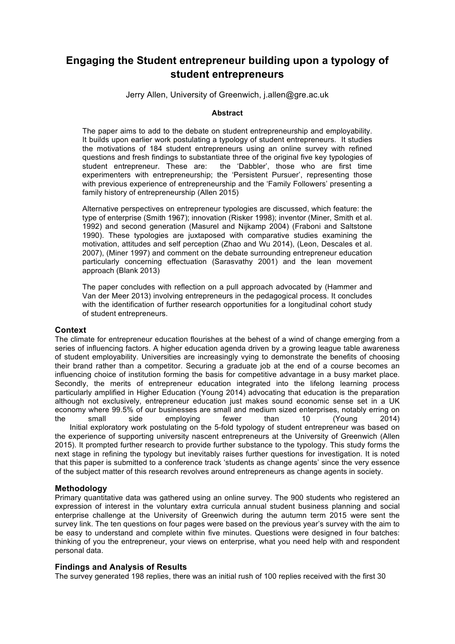# **Engaging the Student entrepreneur building upon a typology of student entrepreneurs**

Jerry Allen, University of Greenwich, j.allen@gre.ac.uk

#### **Abstract**

The paper aims to add to the debate on student entrepreneurship and employability. It builds upon earlier work postulating a typology of student entrepreneurs. It studies the motivations of 184 student entrepreneurs using an online survey with refined questions and fresh findings to substantiate three of the original five key typologies of student entrepreneur. These are: the 'Dabbler', those who are first time experimenters with entrepreneurship; the 'Persistent Pursuer', representing those with previous experience of entrepreneurship and the 'Family Followers' presenting a family history of entrepreneurship (Allen 2015)

Alternative perspectives on entrepreneur typologies are discussed, which feature: the type of enterprise (Smith 1967); innovation (Risker 1998); inventor (Miner, Smith et al. 1992) and second generation (Masurel and Nijkamp 2004) (Fraboni and Saltstone 1990). These typologies are juxtaposed with comparative studies examining the motivation, attitudes and self perception (Zhao and Wu 2014), (Leon, Descales et al. 2007), (Miner 1997) and comment on the debate surrounding entrepreneur education particularly concerning effectuation (Sarasvathy 2001) and the lean movement approach (Blank 2013)

The paper concludes with reflection on a pull approach advocated by (Hammer and Van der Meer 2013) involving entrepreneurs in the pedagogical process. It concludes with the identification of further research opportunities for a longitudinal cohort study of student entrepreneurs.

## **Context**

The climate for entrepreneur education flourishes at the behest of a wind of change emerging from a series of influencing factors. A higher education agenda driven by a growing league table awareness of student employability. Universities are increasingly vying to demonstrate the benefits of choosing their brand rather than a competitor. Securing a graduate job at the end of a course becomes an influencing choice of institution forming the basis for competitive advantage in a busy market place. Secondly, the merits of entrepreneur education integrated into the lifelong learning process particularly amplified in Higher Education (Young 2014) advocating that education is the preparation although not exclusively, entrepreneur education just makes sound economic sense set in a UK economy where 99.5% of our businesses are small and medium sized enterprises, notably erring on the small side employing fewer than 10 (Young 2014) Initial exploratory work postulating on the 5-fold typology of student entrepreneur was based on the experience of supporting university nascent entrepreneurs at the University of Greenwich (Allen 2015). It prompted further research to provide further substance to the typology. This study forms the next stage in refining the typology but inevitably raises further questions for investigation. It is noted that this paper is submitted to a conference track 'students as change agents' since the very essence of the subject matter of this research revolves around entrepreneurs as change agents in society.

## **Methodology**

Primary quantitative data was gathered using an online survey. The 900 students who registered an expression of interest in the voluntary extra curricula annual student business planning and social enterprise challenge at the University of Greenwich during the autumn term 2015 were sent the survey link. The ten questions on four pages were based on the previous year's survey with the aim to be easy to understand and complete within five minutes. Questions were designed in four batches: thinking of you the entrepreneur, your views on enterprise, what you need help with and respondent personal data.

#### **Findings and Analysis of Results**

The survey generated 198 replies, there was an initial rush of 100 replies received with the first 30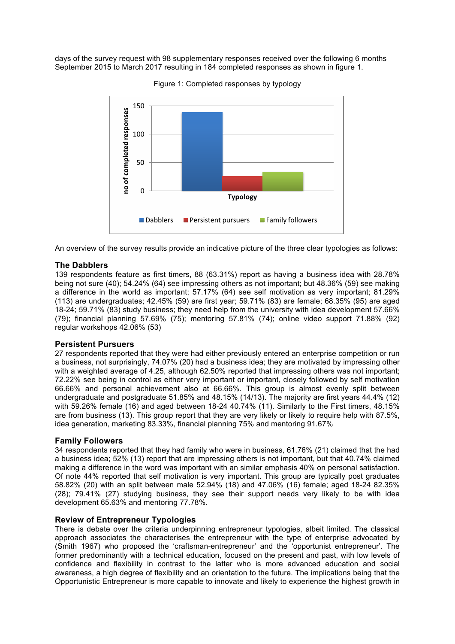days of the survey request with 98 supplementary responses received over the following 6 months September 2015 to March 2017 resulting in 184 completed responses as shown in figure 1.



Figure 1: Completed responses by typology

An overview of the survey results provide an indicative picture of the three clear typologies as follows:

## **The Dabblers**

139 respondents feature as first timers, 88 (63.31%) report as having a business idea with 28.78% being not sure (40); 54.24% (64) see impressing others as not important; but 48.36% (59) see making a difference in the world as important; 57.17% (64) see self motivation as very important; 81.29% (113) are undergraduates; 42.45% (59) are first year; 59.71% (83) are female; 68.35% (95) are aged 18-24; 59.71% (83) study business; they need help from the university with idea development 57.66% (79); financial planning 57.69% (75); mentoring 57.81% (74); online video support 71.88% (92) regular workshops 42.06% (53)

## **Persistent Pursuers**

27 respondents reported that they were had either previously entered an enterprise competition or run a business, not surprisingly, 74.07% (20) had a business idea; they are motivated by impressing other with a weighted average of 4.25, although 62.50% reported that impressing others was not important; 72.22% see being in control as either very important or important, closely followed by self motivation 66.66% and personal achievement also at 66.66%. This group is almost evenly split between undergraduate and postgraduate 51.85% and 48.15% (14/13). The majority are first years 44.4% (12) with 59.26% female (16) and aged between 18-24 40.74% (11). Similarly to the First timers, 48.15% are from business (13). This group report that they are very likely or likely to require help with 87.5%, idea generation, marketing 83.33%, financial planning 75% and mentoring 91.67%

#### **Family Followers**

34 respondents reported that they had family who were in business, 61.76% (21) claimed that the had a business idea; 52% (13) report that are impressing others is not important, but that 40.74% claimed making a difference in the word was important with an similar emphasis 40% on personal satisfaction. Of note 44% reported that self motivation is very important. This group are typically post graduates 58.82% (20) with an split between male 52.94% (18) and 47.06% (16) female; aged 18-24 82.35% (28); 79.41% (27) studying business, they see their support needs very likely to be with idea development 65.63% and mentoring 77.78%.

## **Review of Entrepreneur Typologies**

There is debate over the criteria underpinning entrepreneur typologies, albeit limited. The classical approach associates the characterises the entrepreneur with the type of enterprise advocated by (Smith 1967) who proposed the 'craftsman-entrepreneur' and the 'opportunist entrepreneur'. The former predominantly with a technical education, focused on the present and past, with low levels of confidence and flexibility in contrast to the latter who is more advanced education and social awareness, a high degree of flexibility and an orientation to the future. The implications being that the Opportunistic Entrepreneur is more capable to innovate and likely to experience the highest growth in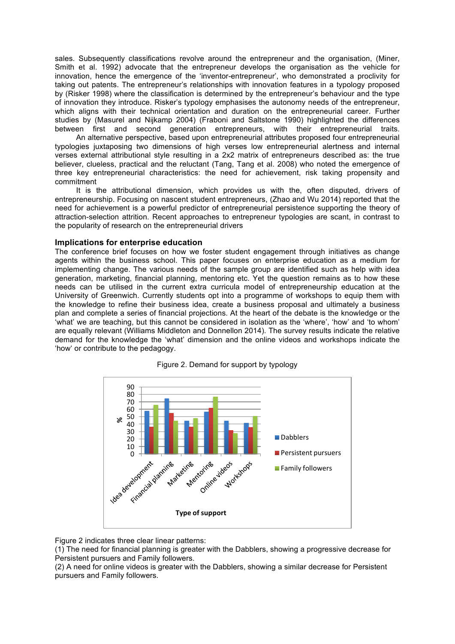sales. Subsequently classifications revolve around the entrepreneur and the organisation, (Miner, Smith et al. 1992) advocate that the entrepreneur develops the organisation as the vehicle for innovation, hence the emergence of the 'inventor-entrepreneur', who demonstrated a proclivity for taking out patents. The entrepreneur's relationships with innovation features in a typology proposed by (Risker 1998) where the classification is determined by the entrepreneur's behaviour and the type of innovation they introduce. Risker's typology emphasises the autonomy needs of the entrepreneur, which aligns with their technical orientation and duration on the entrepreneurial career. Further studies by (Masurel and Nijkamp 2004) (Fraboni and Saltstone 1990) highlighted the differences between first and second generation entrepreneurs, with their entrepreneurial traits.

 An alternative perspective, based upon entrepreneurial attributes proposed four entrepreneurial typologies juxtaposing two dimensions of high verses low entrepreneurial alertness and internal verses external attributional style resulting in a 2x2 matrix of entrepreneurs described as: the true believer, clueless, practical and the reluctant (Tang, Tang et al. 2008) who noted the emergence of three key entrepreneurial characteristics: the need for achievement, risk taking propensity and commitment

 It is the attributional dimension, which provides us with the, often disputed, drivers of entrepreneurship. Focusing on nascent student entrepreneurs, (Zhao and Wu 2014) reported that the need for achievement is a powerful predictor of entrepreneurial persistence supporting the theory of attraction-selection attrition. Recent approaches to entrepreneur typologies are scant, in contrast to the popularity of research on the entrepreneurial drivers

#### **Implications for enterprise education**

The conference brief focuses on how we foster student engagement through initiatives as change agents within the business school. This paper focuses on enterprise education as a medium for implementing change. The various needs of the sample group are identified such as help with idea generation, marketing, financial planning, mentoring etc. Yet the question remains as to how these needs can be utilised in the current extra curricula model of entrepreneurship education at the University of Greenwich. Currently students opt into a programme of workshops to equip them with the knowledge to refine their business idea, create a business proposal and ultimately a business plan and complete a series of financial projections. At the heart of the debate is the knowledge or the 'what' we are teaching, but this cannot be considered in isolation as the 'where', 'how' and 'to whom' are equally relevant (Williams Middleton and Donnellon 2014). The survey results indicate the relative demand for the knowledge the 'what' dimension and the online videos and workshops indicate the 'how' or contribute to the pedagogy.



Figure 2. Demand for support by typology

Figure 2 indicates three clear linear patterns:

(1) The need for financial planning is greater with the Dabblers, showing a progressive decrease for Persistent pursuers and Family followers.

(2) A need for online videos is greater with the Dabblers, showing a similar decrease for Persistent pursuers and Family followers.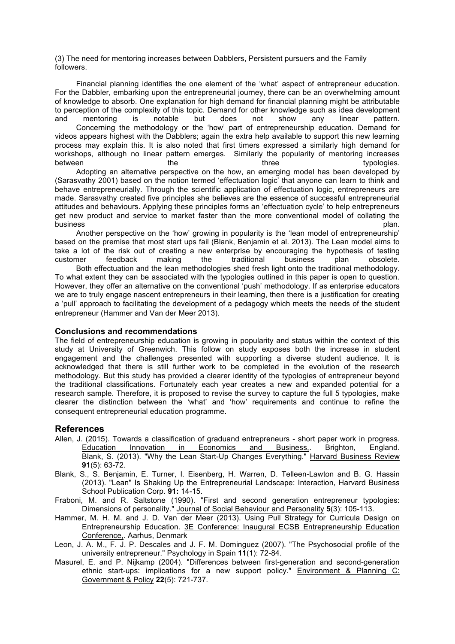(3) The need for mentoring increases between Dabblers, Persistent pursuers and the Family followers.

 Financial planning identifies the one element of the 'what' aspect of entrepreneur education. For the Dabbler, embarking upon the entrepreneurial journey, there can be an overwhelming amount of knowledge to absorb. One explanation for high demand for financial planning might be attributable to perception of the complexity of this topic. Demand for other knowledge such as idea development and mentoring is notable but does not show any linear pattern. Concerning the methodology or the 'how' part of entrepreneurship education. Demand for videos appears highest with the Dabblers; again the extra help available to support this new learning process may explain this. It is also noted that first timers expressed a similarly high demand for workshops, although no linear pattern emerges. Similarly the popularity of mentoring increases between the the three typologies. The three typologies. Adopting an alternative perspective on the how, an emerging model has been developed by (Sarasvathy 2001) based on the notion termed 'effectuation logic' that anyone can learn to think and behave entrepreneurially. Through the scientific application of effectuation logic, entrepreneurs are made. Sarasvathy created five principles she believes are the essence of successful entrepreneurial

attitudes and behaviours. Applying these principles forms an 'effectuation cycle' to help entrepreneurs get new product and service to market faster than the more conventional model of collating the business plan. The contract of the contract of the contract of the contract of the contract of the contract of Another perspective on the 'how' growing in popularity is the 'lean model of entrepreneurship'

based on the premise that most start ups fail (Blank, Benjamin et al. 2013). The Lean model aims to take a lot of the risk out of creating a new enterprise by encouraging the hypothesis of testing customer feedback making the traditional business plan obsolete. Both effectuation and the lean methodologies shed fresh light onto the traditional methodology. To what extent they can be associated with the typologies outlined in this paper is open to question. However, they offer an alternative on the conventional 'push' methodology. If as enterprise educators we are to truly engage nascent entrepreneurs in their learning, then there is a justification for creating a 'pull' approach to facilitating the development of a pedagogy which meets the needs of the student entrepreneur (Hammer and Van der Meer 2013).

#### **Conclusions and recommendations**

The field of entrepreneurship education is growing in popularity and status within the context of this study at University of Greenwich. This follow on study exposes both the increase in student engagement and the challenges presented with supporting a diverse student audience. It is acknowledged that there is still further work to be completed in the evolution of the research methodology. But this study has provided a clearer identity of the typologies of entrepreneur beyond the traditional classifications. Fortunately each year creates a new and expanded potential for a research sample. Therefore, it is proposed to revise the survey to capture the full 5 typologies, make clearer the distinction between the 'what' and 'how' requirements and continue to refine the consequent entrepreneurial education programme.

## **References**

- Allen, J. (2015). Towards a classification of graduand entrepreneurs short paper work in progress. Education Innovation in Economics and Business,. Brighton, England. Blank, S. (2013). "Why the Lean Start-Up Changes Everything." Harvard Business Review **91**(5): 63-72.
- Blank, S., S. Benjamin, E. Turner, I. Eisenberg, H. Warren, D. Telleen-Lawton and B. G. Hassin (2013). "Lean" Is Shaking Up the Entrepreneurial Landscape: Interaction, Harvard Business School Publication Corp. **91:** 14-15.
- Fraboni, M. and R. Saltstone (1990). "First and second generation entrepreneur typologies: Dimensions of personality." Journal of Social Behaviour and Personality **5**(3): 105-113.
- Hammer, M. H. M. and J. D. Van der Meer (2013). Using Pull Strategy for Curricula Design on Entrepreneurship Education. 3E Conference: Inaugural ECSB Entrepreneurship Education Conference,. Aarhus, Denmark
- Leon, J. A. M., F. J. P. Descales and J. F. M. Dominguez (2007). "The Psychosocial profile of the university entrepreneur." Psychology in Spain **11**(1): 72-84.
- Masurel, E. and P. Nijkamp (2004). "Differences between first-generation and second-generation ethnic start-ups: implications for a new support policy." Environment & Planning C: Government & Policy **22**(5): 721-737.